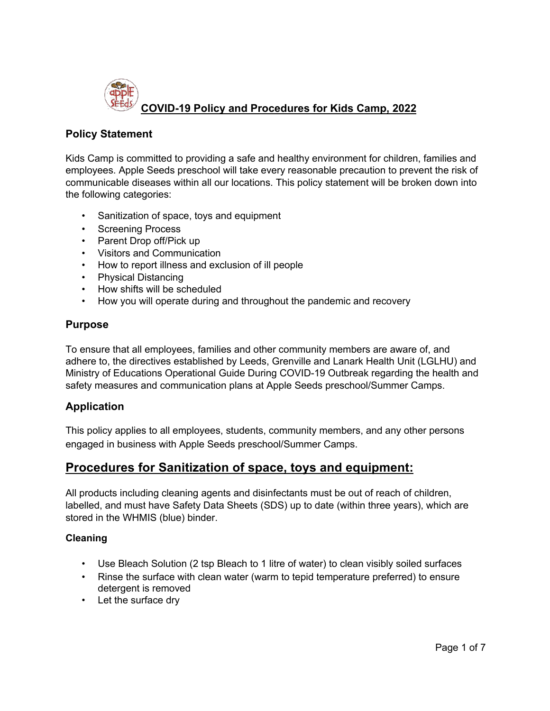

## **Policy Statement**

Kids Camp is committed to providing a safe and healthy environment for children, families and employees. Apple Seeds preschool will take every reasonable precaution to prevent the risk of communicable diseases within all our locations. This policy statement will be broken down into the following categories:

- Sanitization of space, toys and equipment
- Screening Process
- Parent Drop off/Pick up
- Visitors and Communication
- How to report illness and exclusion of ill people
- Physical Distancing
- How shifts will be scheduled
- How you will operate during and throughout the pandemic and recovery

## **Purpose**

To ensure that all employees, families and other community members are aware of, and adhere to, the directives established by Leeds, Grenville and Lanark Health Unit (LGLHU) and Ministry of Educations Operational Guide During COVID-19 Outbreak regarding the health and safety measures and communication plans at Apple Seeds preschool/Summer Camps.

## **Application**

This policy applies to all employees, students, community members, and any other persons engaged in business with Apple Seeds preschool/Summer Camps.

# **Procedures for Sanitization of space, toys and equipment:**

All products including cleaning agents and disinfectants must be out of reach of children, labelled, and must have Safety Data Sheets (SDS) up to date (within three years), which are stored in the WHMIS (blue) binder.

### **Cleaning**

- Use Bleach Solution (2 tsp Bleach to 1 litre of water) to clean visibly soiled surfaces
- Rinse the surface with clean water (warm to tepid temperature preferred) to ensure detergent is removed
- Let the surface dry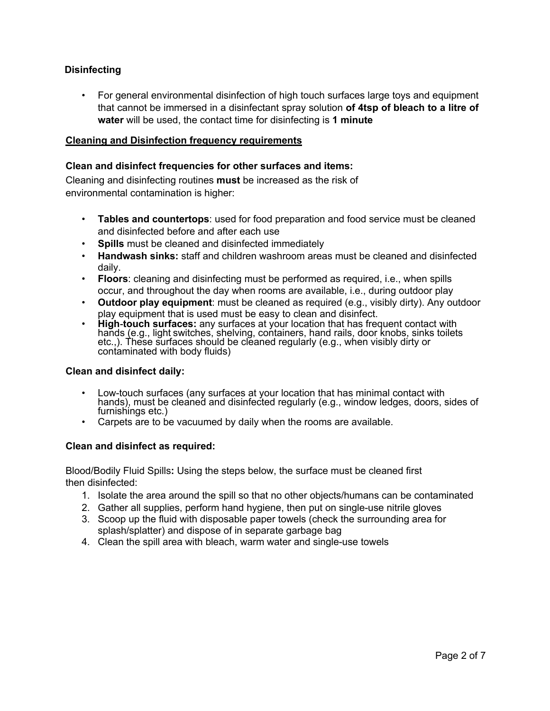## **Disinfecting**

• For general environmental disinfection of high touch surfaces large toys and equipment that cannot be immersed in a disinfectant spray solution **of 4tsp of bleach to a litre of water** will be used, the contact time for disinfecting is **1 minute**

### **Cleaning and Disinfection frequency requirements**

### **Clean and disinfect frequencies for other surfaces and items:**

Cleaning and disinfecting routines **must** be increased as the risk of environmental contamination is higher:

- **Tables and countertops**: used for food preparation and food service must be cleaned and disinfected before and after each use
- **Spills** must be cleaned and disinfected immediately
- **Handwash sinks:** staff and children washroom areas must be cleaned and disinfected daily.
- **Floors**: cleaning and disinfecting must be performed as required, i.e., when spills occur, and throughout the day when rooms are available, i.e., during outdoor play
- **Outdoor play equipment**: must be cleaned as required (e.g., visibly dirty). Any outdoor
- play equipment that is used must be easy to clean and disinfect.<br>• **High-touch surfaces:** any surfaces at your location that has frequent contact with<br>hands (e.g., light switches, shelving, containers, hand rails, door kno etc.,). These surfaces should be cleaned regularly (e.g., when visibly dirty or<br>contaminated with body fluids)

#### **Clean and disinfect daily:**

- Low-touch surfaces (any surfaces at your location that has minimal contact with hands), must be cleaned and disinfected regularly (e.g., window ledges, doors, sides of furnishings etc.)
- Carpets are to be vacuumed by daily when the rooms are available.

#### **Clean and disinfect as required:**

Blood/Bodily Fluid Spills**:** Using the steps below, the surface must be cleaned first then disinfected:

- 1. Isolate the area around the spill so that no other objects/humans can be contaminated
- 2. Gather all supplies, perform hand hygiene, then put on single-use nitrile gloves
- 3. Scoop up the fluid with disposable paper towels (check the surrounding area for splash/splatter) and dispose of in separate garbage bag
- 4. Clean the spill area with bleach, warm water and single-use towels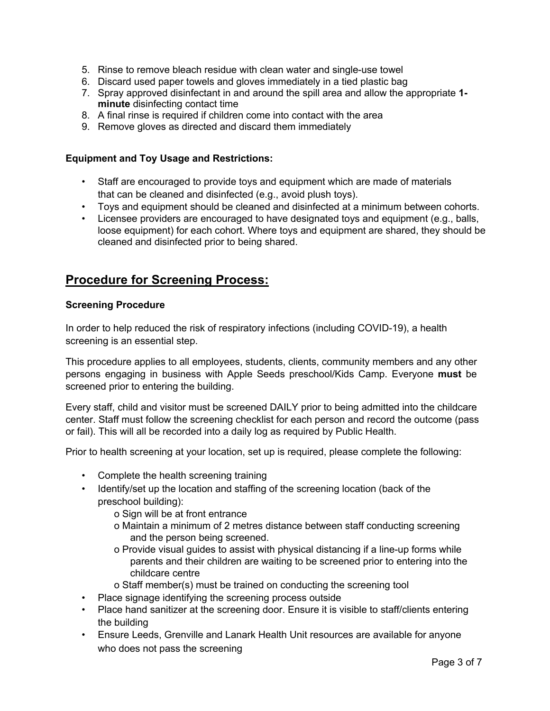- 5. Rinse to remove bleach residue with clean water and single-use towel
- 6. Discard used paper towels and gloves immediately in a tied plastic bag
- 7. Spray approved disinfectant in and around the spill area and allow the appropriate **1 minute** disinfecting contact time
- 8. A final rinse is required if children come into contact with the area
- 9. Remove gloves as directed and discard them immediately

### **Equipment and Toy Usage and Restrictions:**

- Staff are encouraged to provide toys and equipment which are made of materials that can be cleaned and disinfected (e.g., avoid plush toys).
- Toys and equipment should be cleaned and disinfected at a minimum between cohorts.
- Licensee providers are encouraged to have designated toys and equipment (e.g., balls, loose equipment) for each cohort. Where toys and equipment are shared, they should be cleaned and disinfected prior to being shared.

# **Procedure for Screening Process:**

### **Screening Procedure**

In order to help reduced the risk of respiratory infections (including COVID-19), a health screening is an essential step.

This procedure applies to all employees, students, clients, community members and any other persons engaging in business with Apple Seeds preschool/Kids Camp. Everyone **must** be screened prior to entering the building.

Every staff, child and visitor must be screened DAILY prior to being admitted into the childcare center. Staff must follow the screening checklist for each person and record the outcome (pass or fail). This will all be recorded into a daily log as required by Public Health.

Prior to health screening at your location, set up is required, please complete the following:

- Complete the health screening training
- Identify/set up the location and staffing of the screening location (back of the preschool building):
	- o Sign will be at front entrance
	- o Maintain a minimum of 2 metres distance between staff conducting screening and the person being screened.
	- o Provide visual guides to assist with physical distancing if a line-up forms while parents and their children are waiting to be screened prior to entering into the childcare centre
	- o Staff member(s) must be trained on conducting the screening tool
- Place signage identifying the screening process outside
- Place hand sanitizer at the screening door. Ensure it is visible to staff/clients entering the building
- Ensure Leeds, Grenville and Lanark Health Unit resources are available for anyone who does not pass the screening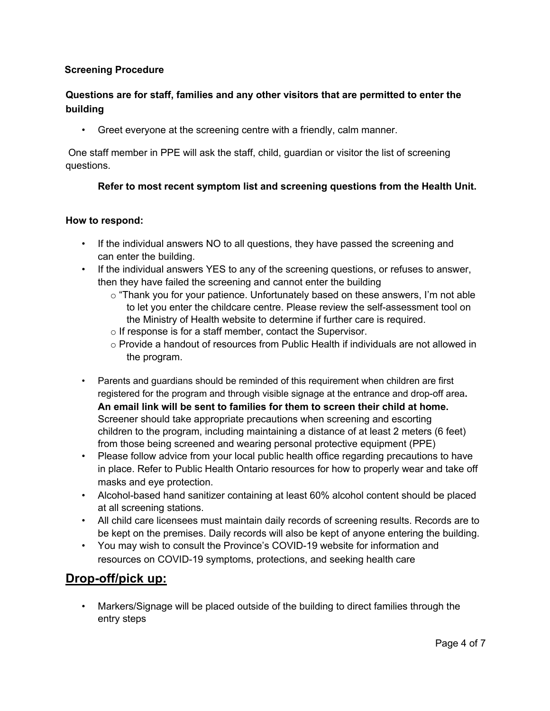## **Screening Procedure**

# **Questions are for staff, families and any other visitors that are permitted to enter the building**

• Greet everyone at the screening centre with a friendly, calm manner.

One staff member in PPE will ask the staff, child, guardian or visitor the list of screening questions.

## **Refer to most recent symptom list and screening questions from the Health Unit.**

### **How to respond:**

- If the individual answers NO to all questions, they have passed the screening and can enter the building.
- If the individual answers YES to any of the screening questions, or refuses to answer, then they have failed the screening and cannot enter the building
	- $\circ$  "Thank you for your patience. Unfortunately based on these answers, I'm not able to let you enter the childcare centre. Please review the self-assessment tool on the Ministry of Health website to determine if further care is required.
	- o If response is for a staff member, contact the Supervisor.
	- $\circ$  Provide a handout of resources from Public Health if individuals are not allowed in the program.
- Parents and guardians should be reminded of this requirement when children are first registered for the program and through visible signage at the entrance and drop-off area**. An email link will be sent to families for them to screen their child at home.**  Screener should take appropriate precautions when screening and escorting children to the program, including maintaining a distance of at least 2 meters (6 feet) from those being screened and wearing personal protective equipment (PPE)
- Please follow advice from your local public health office regarding precautions to have in place. Refer to Public Health Ontario resources for how to properly wear and take off masks and eye protection.
- Alcohol-based hand sanitizer containing at least 60% alcohol content should be placed at all screening stations.
- All child care licensees must maintain daily records of screening results. Records are to be kept on the premises. Daily records will also be kept of anyone entering the building.
- You may wish to consult the Province's COVID-19 website for information and resources on COVID-19 symptoms, protections, and seeking health care

# **Drop-off/pick up:**

• Markers/Signage will be placed outside of the building to direct families through the entry steps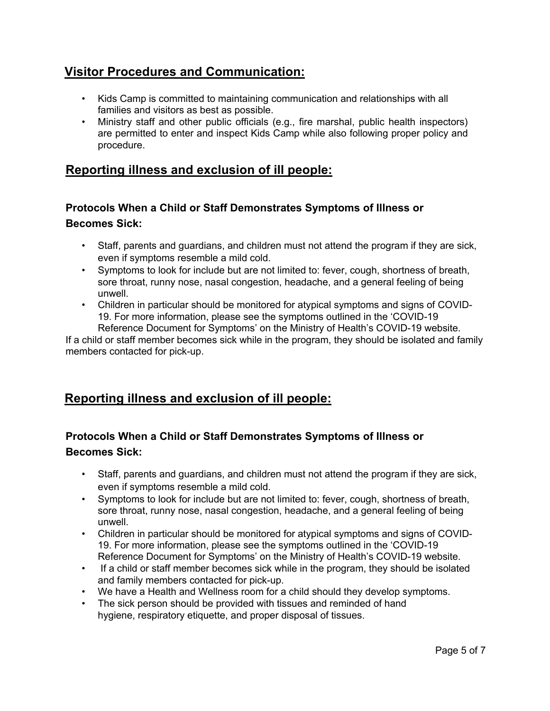# **Visitor Procedures and Communication:**

- Kids Camp is committed to maintaining communication and relationships with all families and visitors as best as possible.
- Ministry staff and other public officials (e.g., fire marshal, public health inspectors) are permitted to enter and inspect Kids Camp while also following proper policy and procedure.

# **Reporting illness and exclusion of ill people:**

# **Protocols When a Child or Staff Demonstrates Symptoms of Illness or Becomes Sick:**

- Staff, parents and guardians, and children must not attend the program if they are sick, even if symptoms resemble a mild cold.
- Symptoms to look for include but are not limited to: fever, cough, shortness of breath, sore throat, runny nose, nasal congestion, headache, and a general feeling of being unwell.
- Children in particular should be monitored for atypical symptoms and signs of COVID-19. For more information, please see the symptoms outlined in the 'COVID-19 Reference Document for Symptoms' on the Ministry of Health's COVID-19 website.

If a child or staff member becomes sick while in the program, they should be isolated and family members contacted for pick-up.

# **Reporting illness and exclusion of ill people:**

# **Protocols When a Child or Staff Demonstrates Symptoms of Illness or Becomes Sick:**

- Staff, parents and guardians, and children must not attend the program if they are sick, even if symptoms resemble a mild cold.
- Symptoms to look for include but are not limited to: fever, cough, shortness of breath, sore throat, runny nose, nasal congestion, headache, and a general feeling of being unwell.
- Children in particular should be monitored for atypical symptoms and signs of COVID-19. For more information, please see the symptoms outlined in the 'COVID-19 Reference Document for Symptoms' on the Ministry of Health's COVID-19 website.
- If a child or staff member becomes sick while in the program, they should be isolated and family members contacted for pick-up.
- We have a Health and Wellness room for a child should they develop symptoms.
- The sick person should be provided with tissues and reminded of hand hygiene, respiratory etiquette, and proper disposal of tissues.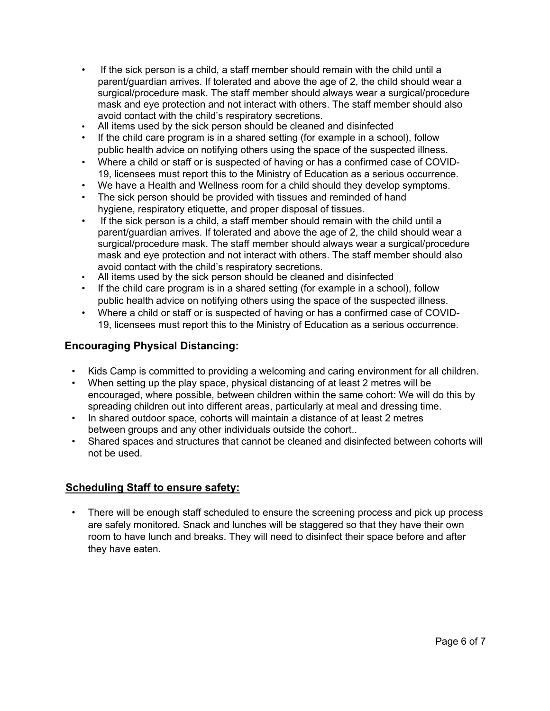- If the sick person is a child, a staff member should remain with the child until a parent/guardian arrives. If tolerated and above the age of 2, the child should wear a surgical/procedure mask. The staff member should always wear a surgical/procedure mask and eye protection and not interact with others. The staff member should also avoid contact with the child's respiratory secretions.
- All items used by the sick person should be cleaned and disinfected
- If the child care program is in a shared setting (for example in a school), follow public health advice on notifying others using the space of the suspected illness.
- Where a child or staff or is suspected of having or has a confirmed case of COVID-19, licensees must report this to the Ministry of Education as a serious occurrence.
- We have a Health and Wellness room for a child should they develop symptoms.
- The sick person should be provided with tissues and reminded of hand hygiene, respiratory etiquette, and proper disposal of tissues.
- If the sick person is a child, a staff member should remain with the child until a parent/guardian arrives. If tolerated and above the age of 2, the child should wear a surgical/procedure mask. The staff member should always wear a surgical/procedure mask and eye protection and not interact with others. The staff member should also avoid contact with the child's respiratory secretions.
- All items used by the sick person should be cleaned and disinfected
- If the child care program is in a shared setting (for example in a school), follow public health advice on notifying others using the space of the suspected illness.
- Where a child or staff or is suspected of having or has a confirmed case of COVID-19, licensees must report this to the Ministry of Education as a serious occurrence.

# **Encouraging Physical Distancing:**

- Kids Camp is committed to providing a welcoming and caring environment for all children.
- When setting up the play space, physical distancing of at least 2 metres will be encouraged, where possible, between children within the same cohort: We will do this by spreading children out into different areas, particularly at meal and dressing time.
- In shared outdoor space, cohorts will maintain a distance of at least 2 metres between groups and any other individuals outside the cohort..
- Shared spaces and structures that cannot be cleaned and disinfected between cohorts will not be used.

## **Scheduling Staff to ensure safety:**

• There will be enough staff scheduled to ensure the screening process and pick up process are safely monitored. Snack and lunches will be staggered so that they have their own room to have lunch and breaks. They will need to disinfect their space before and after they have eaten.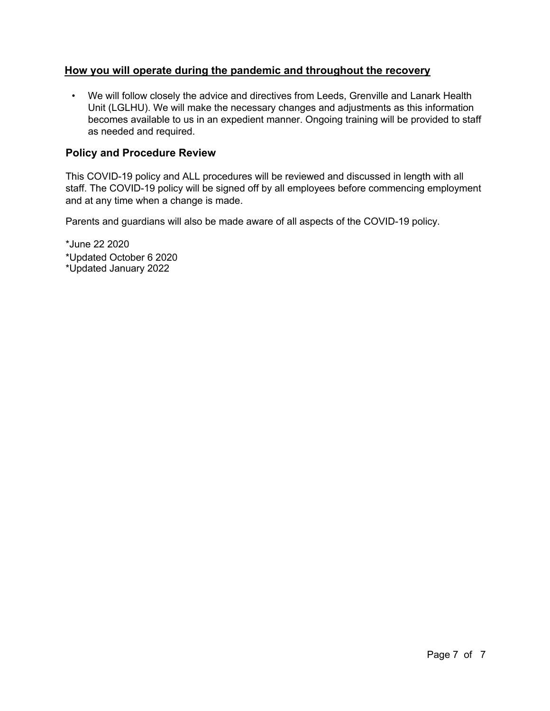## **How you will operate during the pandemic and throughout the recovery**

• We will follow closely the advice and directives from Leeds, Grenville and Lanark Health Unit (LGLHU). We will make the necessary changes and adjustments as this information becomes available to us in an expedient manner. Ongoing training will be provided to staff as needed and required.

## **Policy and Procedure Review**

This COVID-19 policy and ALL procedures will be reviewed and discussed in length with all staff. The COVID-19 policy will be signed off by all employees before commencing employment and at any time when a change is made.

Parents and guardians will also be made aware of all aspects of the COVID-19 policy.

\*June 22 2020 \*Updated October 6 2020 \*Updated January 2022